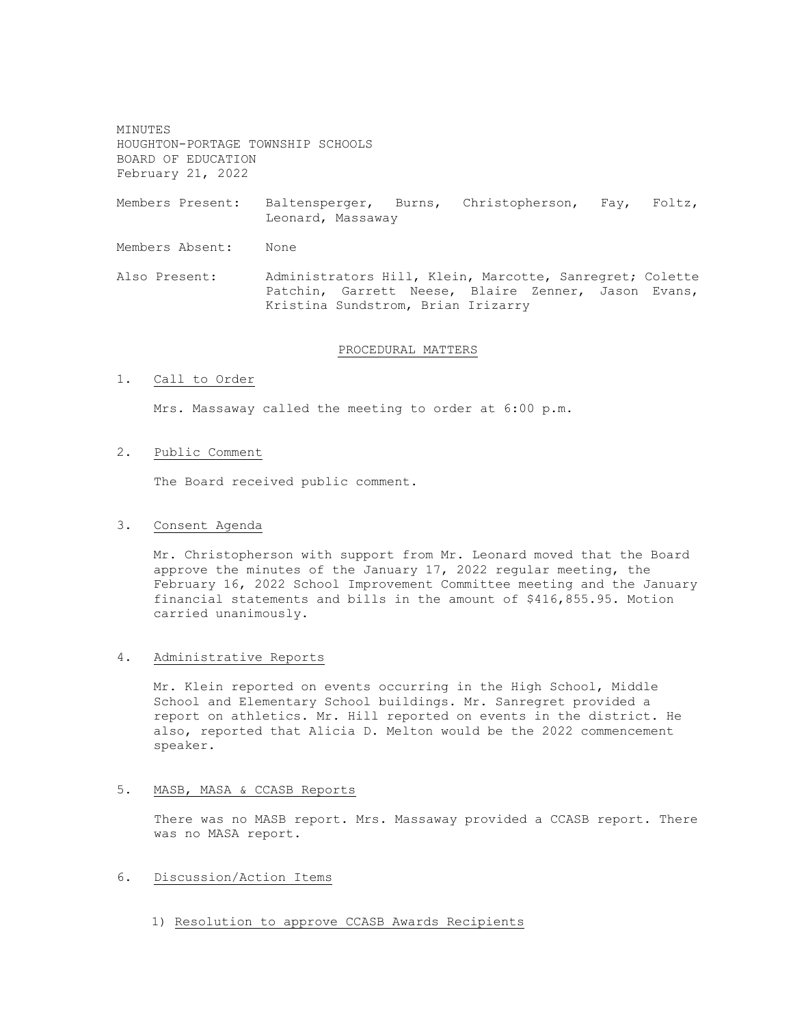MINUTES HOUGHTON-PORTAGE TOWNSHIP SCHOOLS BOARD OF EDUCATION February 21, 2022

Members Present: Baltensperger, Burns, Christopherson, Fay, Foltz, Leonard, Massaway

Members Absent: None

Also Present: Administrators Hill, Klein, Marcotte, Sanregret; Colette Patchin, Garrett Neese, Blaire Zenner, Jason Evans, Kristina Sundstrom, Brian Irizarry

### PROCEDURAL MATTERS

#### 1. Call to Order

Mrs. Massaway called the meeting to order at 6:00 p.m.

## 2. Public Comment

The Board received public comment.

## 3. Consent Agenda

Mr. Christopherson with support from Mr. Leonard moved that the Board approve the minutes of the January 17, 2022 regular meeting, the February 16, 2022 School Improvement Committee meeting and the January financial statements and bills in the amount of \$416,855.95. Motion carried unanimously.

## 4. Administrative Reports

Mr. Klein reported on events occurring in the High School, Middle School and Elementary School buildings. Mr. Sanregret provided a report on athletics. Mr. Hill reported on events in the district. He also, reported that Alicia D. Melton would be the 2022 commencement speaker.

## 5. MASB, MASA & CCASB Reports

There was no MASB report. Mrs. Massaway provided a CCASB report. There was no MASA report.

### 6. Discussion/Action Items

1) Resolution to approve CCASB Awards Recipients